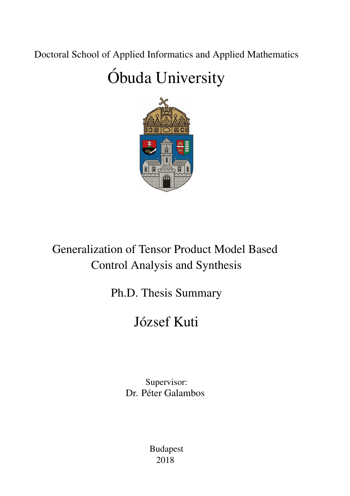Doctoral School of Applied Informatics and Applied Mathematics

## Obuda University ´



Generalization of Tensor Product Model Based Control Analysis and Synthesis

Ph.D. Thesis Summary

## József Kuti

Supervisor: Dr. Péter Galambos

> Budapest 2018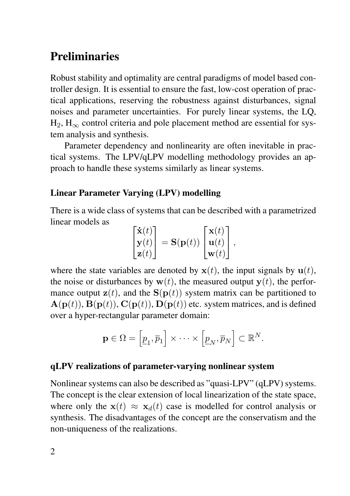### **Preliminaries**

Robust stability and optimality are central paradigms of model based controller design. It is essential to ensure the fast, low-cost operation of practical applications, reserving the robustness against disturbances, signal noises and parameter uncertainties. For purely linear systems, the LQ,  $H_2$ ,  $H_{\infty}$  control criteria and pole placement method are essential for system analysis and synthesis.

Parameter dependency and nonlinearity are often inevitable in practical systems. The LPV/qLPV modelling methodology provides an approach to handle these systems similarly as linear systems.

#### Linear Parameter Varying (LPV) modelling

There is a wide class of systems that can be described with a parametrized linear models as

$$
\begin{bmatrix} \dot{\mathbf{x}}(t) \\ \mathbf{y}(t) \\ \mathbf{z}(t) \end{bmatrix} = \mathbf{S}(\mathbf{p}(t)) \begin{bmatrix} \mathbf{x}(t) \\ \mathbf{u}(t) \\ \mathbf{w}(t) \end{bmatrix},
$$

where the state variables are denoted by  $x(t)$ , the input signals by  $u(t)$ , the noise or disturbances by  $w(t)$ , the measured output  $v(t)$ , the performance output  $z(t)$ , and the  $S(p(t))$  system matrix can be partitioned to  $\mathbf{A}(\mathbf{p}(t)), \mathbf{B}(\mathbf{p}(t)), \mathbf{C}(\mathbf{p}(t)), \mathbf{D}(\mathbf{p}(t))$  etc. system matrices, and is defined over a hyper-rectangular parameter domain:

$$
\mathbf{p} \in \Omega = \left[\underline{p}_1, \overline{p}_1\right] \times \cdots \times \left[\underline{p}_N, \overline{p}_N\right] \subset \mathbb{R}^N.
$$

#### qLPV realizations of parameter-varying nonlinear system

Nonlinear systems can also be described as "quasi-LPV" (qLPV) systems. The concept is the clear extension of local linearization of the state space, where only the  $\mathbf{x}(t) \approx \mathbf{x}_d(t)$  case is modelled for control analysis or synthesis. The disadvantages of the concept are the conservatism and the non-uniqueness of the realizations.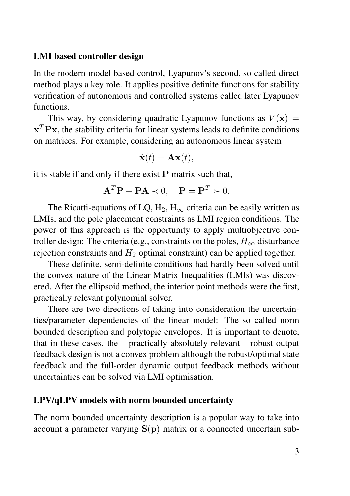#### LMI based controller design

In the modern model based control, Lyapunov's second, so called direct method plays a key role. It applies positive definite functions for stability verification of autonomous and controlled systems called later Lyapunov functions.

This way, by considering quadratic Lyapunov functions as  $V(\mathbf{x}) =$  $\mathbf{x}^T \mathbf{P} \mathbf{x}$ , the stability criteria for linear systems leads to definite conditions on matrices. For example, considering an autonomous linear system

$$
\dot{\mathbf{x}}(t) = \mathbf{A}\mathbf{x}(t),
$$

it is stable if and only if there exist  $P$  matrix such that,

$$
\mathbf{A}^T \mathbf{P} + \mathbf{P} \mathbf{A} \prec 0, \quad \mathbf{P} = \mathbf{P}^T \succ 0.
$$

The Ricatti-equations of LQ,  $H_2$ ,  $H_{\infty}$  criteria can be easily written as LMIs, and the pole placement constraints as LMI region conditions. The power of this approach is the opportunity to apply multiobjective controller design: The criteria (e.g., constraints on the poles,  $H_{\infty}$  disturbance rejection constraints and  $H_2$  optimal constraint) can be applied together.

These definite, semi-definite conditions had hardly been solved until the convex nature of the Linear Matrix Inequalities (LMIs) was discovered. After the ellipsoid method, the interior point methods were the first, practically relevant polynomial solver.

There are two directions of taking into consideration the uncertainties/parameter dependencies of the linear model: The so called norm bounded description and polytopic envelopes. It is important to denote, that in these cases, the – practically absolutely relevant – robust output feedback design is not a convex problem although the robust/optimal state feedback and the full-order dynamic output feedback methods without uncertainties can be solved via LMI optimisation.

#### LPV/qLPV models with norm bounded uncertainty

The norm bounded uncertainty description is a popular way to take into account a parameter varying  $S(p)$  matrix or a connected uncertain sub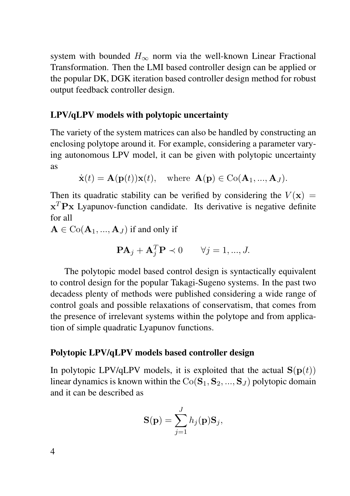system with bounded  $H_{\infty}$  norm via the well-known Linear Fractional Transformation. Then the LMI based controller design can be applied or the popular DK, DGK iteration based controller design method for robust output feedback controller design.

#### LPV/qLPV models with polytopic uncertainty

The variety of the system matrices can also be handled by constructing an enclosing polytope around it. For example, considering a parameter varying autonomous LPV model, it can be given with polytopic uncertainty as

 $\dot{\mathbf{x}}(t) = \mathbf{A}(\mathbf{p}(t))\mathbf{x}(t)$ , where  $\mathbf{A}(\mathbf{p}) \in \text{Co}(\mathbf{A}_1, ..., \mathbf{A}_I)$ .

Then its quadratic stability can be verified by considering the  $V(\mathbf{x}) =$  $\mathbf{x}^T \mathbf{P} \mathbf{x}$  Lyapunov-function candidate. Its derivative is negative definite for all

 $A \in \text{Co}(\mathbf{A}_1, ..., \mathbf{A}_J)$  if and only if

$$
\mathbf{PA}_j + \mathbf{A}_j^T \mathbf{P} \prec 0 \qquad \forall j = 1, ..., J.
$$

The polytopic model based control design is syntactically equivalent to control design for the popular Takagi-Sugeno systems. In the past two decadess plenty of methods were published considering a wide range of control goals and possible relaxations of conservatism, that comes from the presence of irrelevant systems within the polytope and from application of simple quadratic Lyapunov functions.

#### Polytopic LPV/qLPV models based controller design

In polytopic LPV/qLPV models, it is exploited that the actual  $S(p(t))$ linear dynamics is known within the  $Co(S_1, S_2, ..., S_J)$  polytopic domain and it can be described as

$$
\mathbf{S}(\mathbf{p}) = \sum_{j=1}^{J} h_j(\mathbf{p}) \mathbf{S}_j,
$$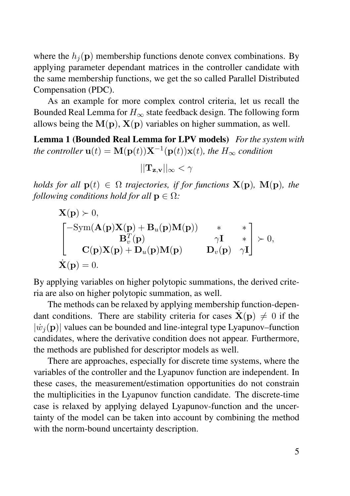where the  $h_i(\mathbf{p})$  membership functions denote convex combinations. By applying parameter dependant matrices in the controller candidate with the same membership functions, we get the so called Parallel Distributed Compensation (PDC).

As an example for more complex control criteria, let us recall the Bounded Real Lemma for  $H_{\infty}$  state feedback design. The following form allows being the  $M(p)$ ,  $X(p)$  variables on higher summation, as well.

Lemma 1 (Bounded Real Lemma for LPV models) *For the system with the controller*  $\mathbf{u}(t) = \mathbf{M}(\mathbf{p}(t))\mathbf{X}^{-1}(\mathbf{p}(t))\mathbf{x}(t)$ *, the*  $H_{\infty}$  *condition* 

$$
||\mathbf{T}_{\mathbf{z},\mathbf{v}}||_{\infty} < \gamma
$$

*holds for all*  $p(t) \in \Omega$  *trajectories, if for functions*  $X(p)$ *,*  $M(p)$ *, the following conditions hold for all*  $p \in \Omega$ *:* 

$$
\mathbf{X}(\mathbf{p}) \succ 0,
$$
\n
$$
\begin{bmatrix}\n-\text{Sym}(\mathbf{A}(\mathbf{p})\mathbf{X}(\mathbf{p}) + \mathbf{B}_u(\mathbf{p})\mathbf{M}(\mathbf{p})) & * & * \\
\mathbf{B}_v^T(\mathbf{p}) & \gamma \mathbf{I} & * \\
\mathbf{C}(\mathbf{p})\mathbf{X}(\mathbf{p}) + \mathbf{D}_u(\mathbf{p})\mathbf{M}(\mathbf{p}) & \mathbf{D}_v(\mathbf{p}) & \gamma \mathbf{I}\n\end{bmatrix} \succ 0,
$$
\n
$$
\dot{\mathbf{X}}(\mathbf{p}) = 0.
$$

By applying variables on higher polytopic summations, the derived criteria are also on higher polytopic summation, as well.

The methods can be relaxed by applying membership function-dependant conditions. There are stability criteria for cases  $\dot{\mathbf{X}}(\mathbf{p})\neq 0$  if the  $|\dot{w}_i(\mathbf{p})|$  values can be bounded and line-integral type Lyapunov–function candidates, where the derivative condition does not appear. Furthermore, the methods are published for descriptor models as well.

There are approaches, especially for discrete time systems, where the variables of the controller and the Lyapunov function are independent. In these cases, the measurement/estimation opportunities do not constrain the multiplicities in the Lyapunov function candidate. The discrete-time case is relaxed by applying delayed Lyapunov-function and the uncertainty of the model can be taken into account by combining the method with the norm-bound uncertainty description.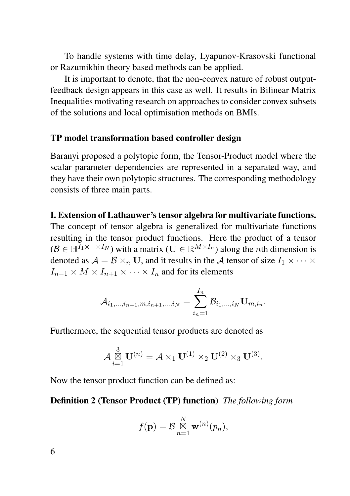To handle systems with time delay, Lyapunov-Krasovski functional or Razumikhin theory based methods can be applied.

It is important to denote, that the non-convex nature of robust outputfeedback design appears in this case as well. It results in Bilinear Matrix Inequalities motivating research on approaches to consider convex subsets of the solutions and local optimisation methods on BMIs.

#### TP model transformation based controller design

Baranyi proposed a polytopic form, the Tensor-Product model where the scalar parameter dependencies are represented in a separated way, and they have their own polytopic structures. The corresponding methodology consists of three main parts.

#### I. Extension of Lathauwer's tensor algebra for multivariate functions.

The concept of tensor algebra is generalized for multivariate functions resulting in the tensor product functions. Here the product of a tensor  $(\mathcal{B} \in \mathbb{H}^{I_1 \times \cdots \times I_N})$  with a matrix  $(\mathbf{U} \in \mathbb{R}^{M \times I_n})$  along the *n*th dimension is denoted as  $A = B \times_n U$ , and it results in the A tensor of size  $I_1 \times \cdots \times I_n$  $I_{n-1} \times M \times I_{n+1} \times \cdots \times I_n$  and for its elements

$$
\mathcal{A}_{i_1,...,i_{n-1},m,i_{n+1},...,i_N} = \sum_{i_n=1}^{I_n} \mathcal{B}_{i_1,...,i_N} \mathbf{U}_{m,i_n}.
$$

Furthermore, the sequential tensor products are denoted as

$$
\mathcal{A} \overset{3}{\underset{i=1}{\boxtimes}} \mathbf{U}^{(n)} = \mathcal{A} \times_1 \mathbf{U}^{(1)} \times_2 \mathbf{U}^{(2)} \times_3 \mathbf{U}^{(3)}.
$$

Now the tensor product function can be defined as:

#### Definition 2 (Tensor Product (TP) function) *The following form*

$$
f(\mathbf{p}) = \mathcal{B} \mathop{\boxtimes}\limits_{n=1}^N \mathbf{w}^{(n)}(p_n),
$$

6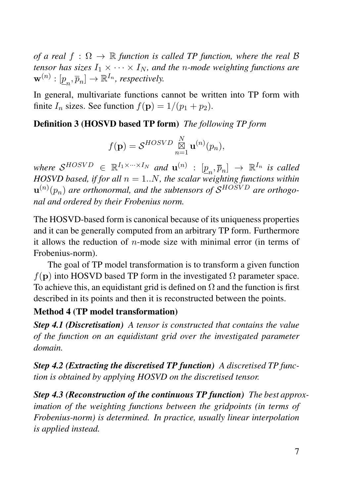*of a real*  $f : \Omega \to \mathbb{R}$  *function is called TP function, where the real*  $\beta$ *tensor has sizes*  $I_1 \times \cdots \times I_N$ *, and the n-mode weighting functions are*  $\mathbf{w}^{(n)}: [\underline{p}_n, \overline{p}_n] \rightarrow \mathbb{R}^{I_n}$ , respectively.

In general, multivariate functions cannot be written into TP form with finite  $I_n$  sizes. See function  $f(\mathbf{p}) = 1/(p_1 + p_2)$ .

#### Definition 3 (HOSVD based TP form) *The following TP form*

$$
f(\mathbf{p}) = \mathcal{S}^{HOSVD} \mathop{\boxtimes}\limits_{n=1}^N \mathbf{u}^{(n)}(p_n),
$$

where  $S^{HOSVD}$   $\in \mathbb{R}^{I_1 \times \cdots \times I_N}$  and  $\mathbf{u}^{(n)}$  :  $[\underline{p}_n, \overline{p}_n] \rightarrow \mathbb{R}^{I_n}$  is called  $HOSVD$  based, if for all  $n = 1..N$ , the scalar weighting functions within  $\mathbf{u}^{(n)}(p_n)$  are orthonormal, and the subtensors of  $\mathcal{S}^{HOSVD}$  are orthogo*nal and ordered by their Frobenius norm.*

The HOSVD-based form is canonical because of its uniqueness properties and it can be generally computed from an arbitrary TP form. Furthermore it allows the reduction of  $n$ -mode size with minimal error (in terms of Frobenius-norm).

The goal of TP model transformation is to transform a given function  $f(\mathbf{p})$  into HOSVD based TP form in the investigated  $\Omega$  parameter space. To achieve this, an equidistant grid is defined on  $\Omega$  and the function is first described in its points and then it is reconstructed between the points.

#### Method 4 (TP model transformation)

*Step 4.1 (Discretisation) A tensor is constructed that contains the value of the function on an equidistant grid over the investigated parameter domain.*

*Step 4.2 (Extracting the discretised TP function) A discretised TP function is obtained by applying HOSVD on the discretised tensor.*

*Step 4.3 (Reconstruction of the continuous TP function) The best approximation of the weighting functions between the gridpoints (in terms of Frobenius-norm) is determined. In practice, usually linear interpolation is applied instead.*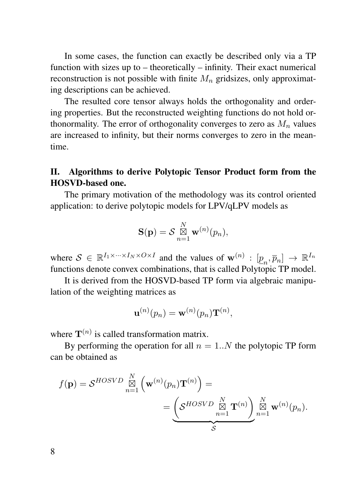In some cases, the function can exactly be described only via a TP function with sizes up to – theoretically – infinity. Their exact numerical reconstruction is not possible with finite  $M_n$  gridsizes, only approximating descriptions can be achieved.

The resulted core tensor always holds the orthogonality and ordering properties. But the reconstructed weighting functions do not hold orthonormality. The error of orthogonality converges to zero as  $M_n$  values are increased to infinity, but their norms converges to zero in the meantime.

#### II. Algorithms to derive Polytopic Tensor Product form from the HOSVD-based one.

The primary motivation of the methodology was its control oriented application: to derive polytopic models for LPV/qLPV models as

$$
\mathbf{S}(\mathbf{p}) = \mathcal{S} \mathop{\boxtimes}\limits_{n=1}^N \mathbf{w}^{(n)}(p_n),
$$

where  $S \in \mathbb{R}^{I_1 \times \cdots \times I_N \times O \times I}$  and the values of  $\mathbf{w}^{(n)} : [\underline{p}_n, \overline{p}_n] \to \mathbb{R}^{I_n}$ functions denote convex combinations, that is called Polytopic  $TP$  model.

It is derived from the HOSVD-based TP form via algebraic manipulation of the weighting matrices as

$$
\mathbf{u}^{(n)}(p_n) = \mathbf{w}^{(n)}(p_n) \mathbf{T}^{(n)},
$$

where  $T^{(n)}$  is called transformation matrix.

By performing the operation for all  $n = 1..N$  the polytopic TP form can be obtained as

$$
f(\mathbf{p}) = S^{HOSVD} \overset{N}{\underset{n=1}{\boxtimes}} \left( \mathbf{w}^{(n)}(p_n) \mathbf{T}^{(n)} \right) =
$$
  
= 
$$
\underbrace{\left( S^{HOSVD} \overset{N}{\underset{n=1}{\boxtimes}} \mathbf{T}^{(n)} \right)}_{S} \overset{N}{\underset{n=1}{\boxtimes}} \mathbf{w}^{(n)}(p_n).
$$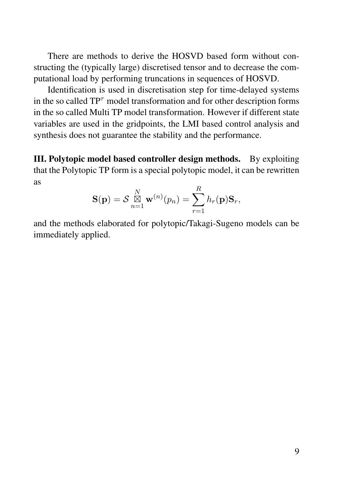There are methods to derive the HOSVD based form without constructing the (typically large) discretised tensor and to decrease the computational load by performing truncations in sequences of HOSVD.

Identification is used in discretisation step for time-delayed systems in the so called  $TP<sup>\tau</sup>$  model transformation and for other description forms in the so called Multi TP model transformation. However if different state variables are used in the gridpoints, the LMI based control analysis and synthesis does not guarantee the stability and the performance.

III. Polytopic model based controller design methods. By exploiting that the Polytopic TP form is a special polytopic model, it can be rewritten as

$$
\mathbf{S}(\mathbf{p}) = \mathcal{S} \mathop{\boxtimes}^N_{n=1} \mathbf{w}^{(n)}(p_n) = \sum_{r=1}^R h_r(\mathbf{p}) \mathbf{S}_r,
$$

and the methods elaborated for polytopic/Takagi-Sugeno models can be immediately applied.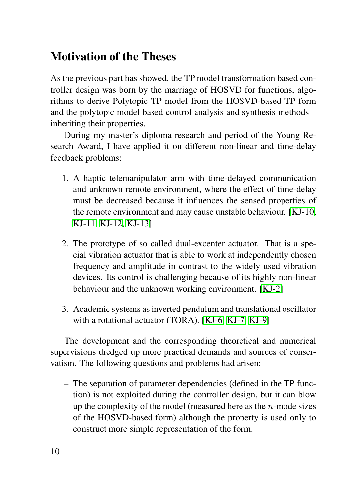## Motivation of the Theses

As the previous part has showed, the TP model transformation based controller design was born by the marriage of HOSVD for functions, algorithms to derive Polytopic TP model from the HOSVD-based TP form and the polytopic model based control analysis and synthesis methods – inheriting their properties.

During my master's diploma research and period of the Young Research Award, I have applied it on different non-linear and time-delay feedback problems:

- 1. A haptic telemanipulator arm with time-delayed communication and unknown remote environment, where the effect of time-delay must be decreased because it influences the sensed properties of the remote environment and may cause unstable behaviour. [\[KJ-10,](#page-21-0) [KJ-11,](#page-21-1) [KJ-12,](#page-21-2) [KJ-13\]](#page-21-3)
- 2. The prototype of so called dual-excenter actuator. That is a special vibration actuator that is able to work at independently chosen frequency and amplitude in contrast to the widely used vibration devices. Its control is challenging because of its highly non-linear behaviour and the unknown working environment. [\[KJ-2\]](#page-20-0)
- 3. Academic systems as inverted pendulum and translational oscillator with a rotational actuator (TORA). [\[KJ-6,](#page-20-1) [KJ-7,](#page-20-2) [KJ-9\]](#page-21-4)

The development and the corresponding theoretical and numerical supervisions dredged up more practical demands and sources of conservatism. The following questions and problems had arisen:

– The separation of parameter dependencies (defined in the TP function) is not exploited during the controller design, but it can blow up the complexity of the model (measured here as the  $n$ -mode sizes of the HOSVD-based form) although the property is used only to construct more simple representation of the form.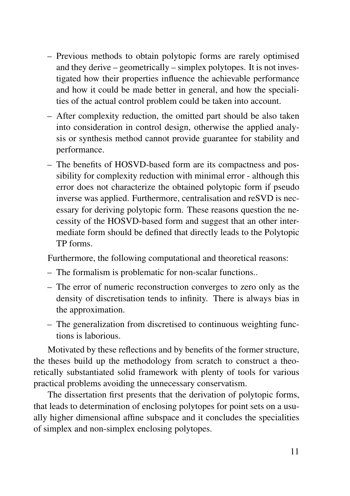- Previous methods to obtain polytopic forms are rarely optimised and they derive – geometrically – simplex polytopes. It is not investigated how their properties influence the achievable performance and how it could be made better in general, and how the specialities of the actual control problem could be taken into account.
- After complexity reduction, the omitted part should be also taken into consideration in control design, otherwise the applied analysis or synthesis method cannot provide guarantee for stability and performance.
- The benefits of HOSVD-based form are its compactness and possibility for complexity reduction with minimal error - although this error does not characterize the obtained polytopic form if pseudo inverse was applied. Furthermore, centralisation and reSVD is necessary for deriving polytopic form. These reasons question the necessity of the HOSVD-based form and suggest that an other intermediate form should be defined that directly leads to the Polytopic TP forms.

Furthermore, the following computational and theoretical reasons:

- The formalism is problematic for non-scalar functions..
- The error of numeric reconstruction converges to zero only as the density of discretisation tends to infinity. There is always bias in the approximation.
- The generalization from discretised to continuous weighting functions is laborious.

Motivated by these reflections and by benefits of the former structure, the theses build up the methodology from scratch to construct a theoretically substantiated solid framework with plenty of tools for various practical problems avoiding the unnecessary conservatism.

The dissertation first presents that the derivation of polytopic forms, that leads to determination of enclosing polytopes for point sets on a usually higher dimensional affine subspace and it concludes the specialities of simplex and non-simplex enclosing polytopes.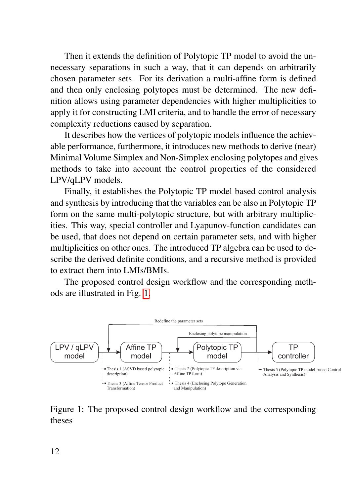Then it extends the definition of Polytopic TP model to avoid the unnecessary separations in such a way, that it can depends on arbitrarily chosen parameter sets. For its derivation a multi-affine form is defined and then only enclosing polytopes must be determined. The new definition allows using parameter dependencies with higher multiplicities to apply it for constructing LMI criteria, and to handle the error of necessary complexity reductions caused by separation.

It describes how the vertices of polytopic models influence the achievable performance, furthermore, it introduces new methods to derive (near) Minimal Volume Simplex and Non-Simplex enclosing polytopes and gives methods to take into account the control properties of the considered LPV/qLPV models.

Finally, it establishes the Polytopic TP model based control analysis and synthesis by introducing that the variables can be also in Polytopic TP form on the same multi-polytopic structure, but with arbitrary multiplicities. This way, special controller and Lyapunov-function candidates can be used, that does not depend on certain parameter sets, and with higher multiplicities on other ones. The introduced TP algebra can be used to describe the derived definite conditions, and a recursive method is provided to extract them into LMIs/BMIs.

The proposed control design workflow and the corresponding methods are illustrated in Fig. [1.](#page-11-0)



<span id="page-11-0"></span>Figure 1: The proposed control design workflow and the corresponding theses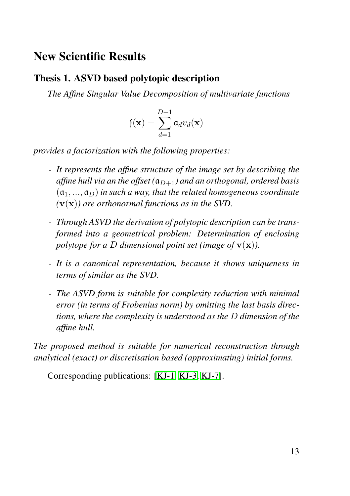### New Scientific Results

#### Thesis 1. ASVD based polytopic description

*The Affine Singular Value Decomposition of multivariate functions*

$$
\mathfrak{f}(\mathbf{x}) = \sum_{d=1}^{D+1} \mathfrak{a}_d v_d(\mathbf{x})
$$

*provides a factorization with the following properties:*

- *It represents the affine structure of the image set by describing the affine hull via an the offset*  $(a_{D+1})$  *and an orthogonal, ordered basis*  $(a_1, ..., a_D)$  *in such a way, that the related homogeneous coordinate (*v(x)*) are orthonormal functions as in the SVD.*
- *Through ASVD the derivation of polytopic description can be transformed into a geometrical problem: Determination of enclosing polytope for a D dimensional point set (image of*  $\mathbf{v}(\mathbf{x})$ ).
- *It is a canonical representation, because it shows uniqueness in terms of similar as the SVD.*
- *The ASVD form is suitable for complexity reduction with minimal error (in terms of Frobenius norm) by omitting the last basis directions, where the complexity is understood as the* D *dimension of the affine hull.*

*The proposed method is suitable for numerical reconstruction through analytical (exact) or discretisation based (approximating) initial forms.*

Corresponding publications: [\[KJ-1,](#page-20-3) [KJ-3,](#page-20-4) [KJ-7\]](#page-20-2).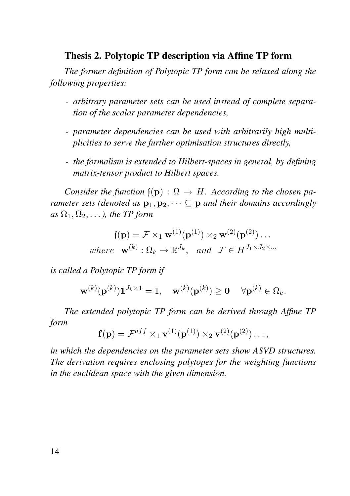#### Thesis 2. Polytopic TP description via Affine TP form

*The former definition of Polytopic TP form can be relaxed along the following properties:*

- *arbitrary parameter sets can be used instead of complete separation of the scalar parameter dependencies,*
- *parameter dependencies can be used with arbitrarily high multiplicities to serve the further optimisation structures directly,*
- *the formalism is extended to Hilbert-spaces in general, by defining matrix-tensor product to Hilbert spaces.*

*Consider the function*  $f(\mathbf{p})$ :  $\Omega \to H$ *. According to the chosen parameter sets (denoted as*  $\mathbf{p}_1, \mathbf{p}_2, \cdots \subseteq \mathbf{p}$  *and their domains accordingly*  $as \Omega_1, \Omega_2, \ldots$ , the TP form

$$
\mathfrak{f}(\mathbf{p}) = \mathcal{F} \times_1 \mathbf{w}^{(1)}(\mathbf{p}^{(1)}) \times_2 \mathbf{w}^{(2)}(\mathbf{p}^{(2)}) \dots
$$
  
where  $\mathbf{w}^{(k)} : \Omega_k \to \mathbb{R}^{J_k}$ , and  $\mathcal{F} \in H^{J_1 \times J_2 \times \dots}$ 

*is called a Polytopic TP form if*

$$
\mathbf{w}^{(k)}(\mathbf{p}^{(k)})\mathbf{1}^{J_k \times 1} = 1, \quad \mathbf{w}^{(k)}(\mathbf{p}^{(k)}) \ge \mathbf{0} \quad \forall \mathbf{p}^{(k)} \in \Omega_k.
$$

*The extended polytopic TP form can be derived through Affine TP form*

$$
\mathbf{f}(\mathbf{p}) = \mathcal{F}^{aff} \times_1 \mathbf{v}^{(1)}(\mathbf{p}^{(1)}) \times_2 \mathbf{v}^{(2)}(\mathbf{p}^{(2)}) \dots,
$$

*in which the dependencies on the parameter sets show ASVD structures. The derivation requires enclosing polytopes for the weighting functions in the euclidean space with the given dimension.*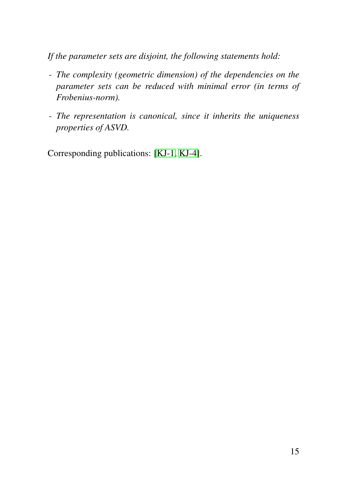*If the parameter sets are disjoint, the following statements hold:*

- *The complexity (geometric dimension) of the dependencies on the parameter sets can be reduced with minimal error (in terms of Frobenius-norm).*
- *The representation is canonical, since it inherits the uniqueness properties of ASVD.*

Corresponding publications: [\[KJ-1,](#page-20-3) [KJ-4\]](#page-20-5).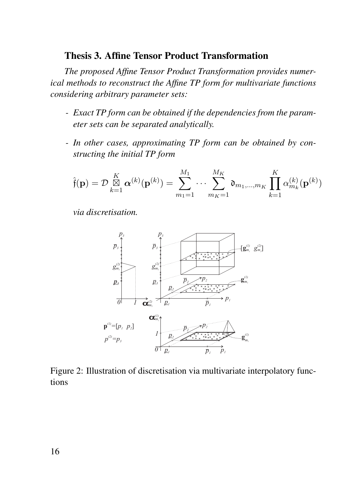#### Thesis 3. Affine Tensor Product Transformation

*The proposed Affine Tensor Product Transformation provides numerical methods to reconstruct the Affine TP form for multivariate functions considering arbitrary parameter sets:*

- *Exact TP form can be obtained if the dependencies from the parameter sets can be separated analytically.*
- *In other cases, approximating TP form can be obtained by constructing the initial TP form*

$$
\hat{\mathfrak{f}}(\mathbf{p}) = \mathcal{D} \mathop{\boxtimes}_{k=1}^K \boldsymbol{\alpha}^{(k)}(\mathbf{p}^{(k)}) = \sum_{m_1=1}^{M_1} \cdots \sum_{m_K=1}^{M_K} \mathfrak{d}_{m_1,\dots,m_K} \prod_{k=1}^K \alpha_{m_k}^{(k)}(\mathbf{p}^{(k)})
$$

*via discretisation.*



Figure 2: Illustration of discretisation via multivariate interpolatory functions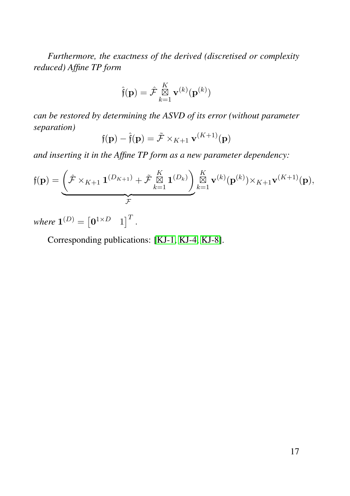*Furthermore, the exactness of the derived (discretised or complexity reduced) Affine TP form*

$$
\hat{\mathfrak{f}}(\mathbf{p}) = \hat{\mathcal{F}} \mathop{\boxtimes}\limits_{k=1}^K \mathbf{v}^{(k)}(\mathbf{p}^{(k)})
$$

*can be restored by determining the ASVD of its error (without parameter separation)*

$$
\mathfrak{f}(\mathbf{p}) - \hat{\mathfrak{f}}(\mathbf{p}) = \tilde{\mathcal{F}} \times_{K+1} \mathbf{v}^{(K+1)}(\mathbf{p})
$$

*and inserting it in the Affine TP form as a new parameter dependency:*

$$
\mathfrak{f}(\mathbf{p}) = \underbrace{\left(\hat{\mathcal{F}} \times_{K+1} \mathbf{1}^{(D_{K+1})} + \tilde{\mathcal{F}} \underset{k=1}{\overset{K}{\boxtimes}} \mathbf{1}^{(D_k)}\right)}_{\mathcal{F}} \underset{k=1}{\overset{K}{\boxtimes}} \mathbf{v}^{(k)}(\mathbf{p}^{(k)}) \times_{K+1} \mathbf{v}^{(K+1)}(\mathbf{p}),
$$

where  $\mathbf{1}^{(D)} = \begin{bmatrix} \mathbf{0}^{1 \times D} & 1 \end{bmatrix}^T$ .

Corresponding publications: [\[KJ-1,](#page-20-3) [KJ-4,](#page-20-5) [KJ-8\]](#page-21-5).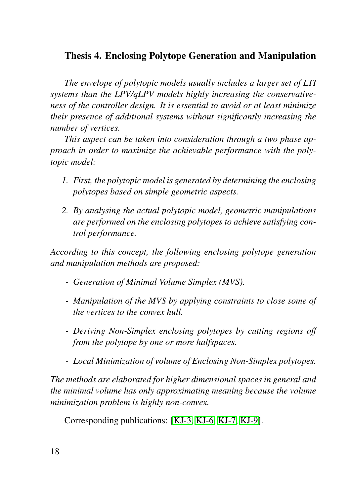#### Thesis 4. Enclosing Polytope Generation and Manipulation

*The envelope of polytopic models usually includes a larger set of LTI systems than the LPV/qLPV models highly increasing the conservativeness of the controller design. It is essential to avoid or at least minimize their presence of additional systems without significantly increasing the number of vertices.*

*This aspect can be taken into consideration through a two phase approach in order to maximize the achievable performance with the polytopic model:*

- *1. First, the polytopic model is generated by determining the enclosing polytopes based on simple geometric aspects.*
- *2. By analysing the actual polytopic model, geometric manipulations are performed on the enclosing polytopes to achieve satisfying control performance.*

*According to this concept, the following enclosing polytope generation and manipulation methods are proposed:*

- *Generation of Minimal Volume Simplex (MVS).*
- *Manipulation of the MVS by applying constraints to close some of the vertices to the convex hull.*
- *Deriving Non-Simplex enclosing polytopes by cutting regions off from the polytope by one or more halfspaces.*
- *Local Minimization of volume of Enclosing Non-Simplex polytopes.*

*The methods are elaborated for higher dimensional spaces in general and the minimal volume has only approximating meaning because the volume minimization problem is highly non-convex.*

Corresponding publications: [\[KJ-3,](#page-20-4) [KJ-6,](#page-20-1) [KJ-7,](#page-20-2) [KJ-9\]](#page-21-4).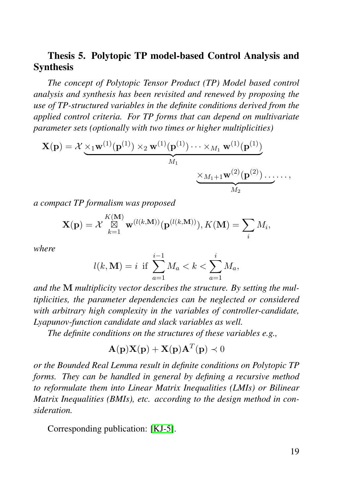#### Thesis 5. Polytopic TP model-based Control Analysis and Synthesis

*The concept of Polytopic Tensor Product (TP) Model based control analysis and synthesis has been revisited and renewed by proposing the use of TP-structured variables in the definite conditions derived from the applied control criteria. For TP forms that can depend on multivariate parameter sets (optionally with two times or higher multiplicities)*

$$
\mathbf{X}(\mathbf{p}) = \mathcal{X} \underbrace{\times_1 \mathbf{w}^{(1)}(\mathbf{p}^{(1)}) \times_2 \mathbf{w}^{(1)}(\mathbf{p}^{(1)}) \cdots \times_{M_1} \mathbf{w}^{(1)}(\mathbf{p}^{(1)})}_{M_1} \underbrace{\times_{M_1+1} \mathbf{w}^{(2)}(\mathbf{p}^{(2)}) \cdots}_{M_2} \cdots,
$$

*a compact TP formalism was proposed*

$$
\mathbf{X}(\mathbf{p}) = \mathcal{X} \mathop{\boxtimes}\limits_{k=1}^{K(\mathbf{M})} \mathbf{w}^{(l(k,\mathbf{M}))}(\mathbf{p}^{(l(k,\mathbf{M}))}), K(\mathbf{M}) = \sum_i M_i,
$$

*where*

$$
l(k, \mathbf{M}) = i \text{ if } \sum_{a=1}^{i-1} M_a < k < \sum_{a=1}^{i} M_a,
$$

*and the* M *multiplicity vector describes the structure. By setting the multiplicities, the parameter dependencies can be neglected or considered with arbitrary high complexity in the variables of controller-candidate, Lyapunov-function candidate and slack variables as well.*

*The definite conditions on the structures of these variables e.g.,*

$$
\mathbf{A}(\mathbf{p})\mathbf{X}(\mathbf{p}) + \mathbf{X}(\mathbf{p})\mathbf{A}^T(\mathbf{p}) \prec 0
$$

*or the Bounded Real Lemma result in definite conditions on Polytopic TP forms. They can be handled in general by defining a recursive method to reformulate them into Linear Matrix Inequalities (LMIs) or Bilinear Matrix Inequalities (BMIs), etc. according to the design method in consideration.*

Corresponding publication: [\[KJ-5\]](#page-20-6).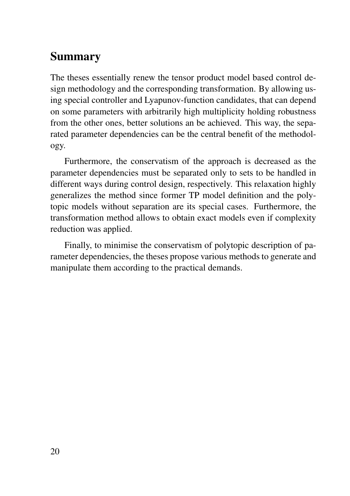## Summary

The theses essentially renew the tensor product model based control design methodology and the corresponding transformation. By allowing using special controller and Lyapunov-function candidates, that can depend on some parameters with arbitrarily high multiplicity holding robustness from the other ones, better solutions an be achieved. This way, the separated parameter dependencies can be the central benefit of the methodology.

Furthermore, the conservatism of the approach is decreased as the parameter dependencies must be separated only to sets to be handled in different ways during control design, respectively. This relaxation highly generalizes the method since former TP model definition and the polytopic models without separation are its special cases. Furthermore, the transformation method allows to obtain exact models even if complexity reduction was applied.

Finally, to minimise the conservatism of polytopic description of parameter dependencies, the theses propose various methods to generate and manipulate them according to the practical demands.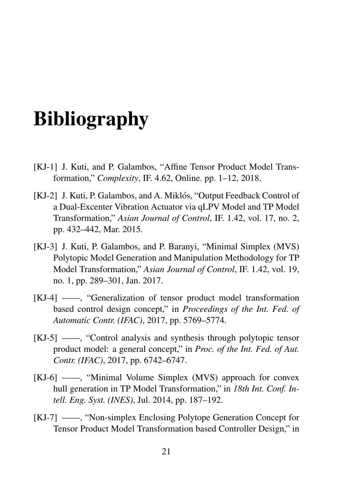# Bibliography

- <span id="page-20-3"></span>[KJ-1] J. Kuti, and P. Galambos, "Affine Tensor Product Model Transformation," *Complexity*, IF. 4.62, Online. pp. 1–12, 2018.
- <span id="page-20-0"></span>[KJ-2] J. Kuti, P. Galambos, and A. Miklós, "Output Feedback Control of a Dual-Excenter Vibration Actuator via qLPV Model and TP Model Transformation," *Asian Journal of Control*, IF. 1.42, vol. 17, no. 2, pp. 432–442, Mar. 2015.
- <span id="page-20-4"></span>[KJ-3] J. Kuti, P. Galambos, and P. Baranyi, "Minimal Simplex (MVS) Polytopic Model Generation and Manipulation Methodology for TP Model Transformation," *Asian Journal of Control*, IF. 1.42, vol. 19, no. 1, pp. 289–301, Jan. 2017.
- <span id="page-20-5"></span>[KJ-4] ——, "Generalization of tensor product model transformation based control design concept," in *Proceedings of the Int. Fed. of Automatic Contr. (IFAC)*, 2017, pp. 5769–5774.
- <span id="page-20-6"></span>[KJ-5] ——, "Control analysis and synthesis through polytopic tensor product model: a general concept," in *Proc. of the Int. Fed. of Aut. Contr. (IFAC)*, 2017, pp. 6742–6747.
- <span id="page-20-1"></span>[KJ-6] ——, "Minimal Volume Simplex (MVS) approach for convex hull generation in TP Model Transformation," in *18th Int. Conf. Intell. Eng. Syst. (INES)*, Jul. 2014, pp. 187–192.
- <span id="page-20-2"></span>[KJ-7] ——, "Non-simplex Enclosing Polytope Generation Concept for Tensor Product Model Transformation based Controller Design," in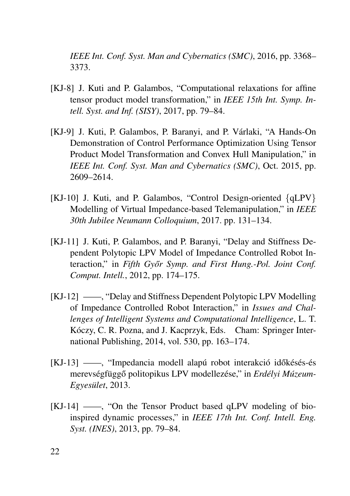*IEEE Int. Conf. Syst. Man and Cybernatics (SMC)*, 2016, pp. 3368– 3373.

- <span id="page-21-5"></span>[KJ-8] J. Kuti and P. Galambos, "Computational relaxations for affine tensor product model transformation," in *IEEE 15th Int. Symp. Intell. Syst. and Inf. (SISY)*, 2017, pp. 79–84.
- <span id="page-21-4"></span>[KJ-9] J. Kuti, P. Galambos, P. Baranyi, and P. Várlaki, "A Hands-On Demonstration of Control Performance Optimization Using Tensor Product Model Transformation and Convex Hull Manipulation," in *IEEE Int. Conf. Syst. Man and Cybernatics (SMC)*, Oct. 2015, pp. 2609–2614.
- <span id="page-21-0"></span>[KJ-10] J. Kuti, and P. Galambos, "Control Design-oriented {qLPV} Modelling of Virtual Impedance-based Telemanipulation," in *IEEE 30th Jubilee Neumann Colloquium*, 2017. pp. 131–134.
- <span id="page-21-1"></span>[KJ-11] J. Kuti, P. Galambos, and P. Baranyi, "Delay and Stiffness Dependent Polytopic LPV Model of Impedance Controlled Robot Interaction," in *Fifth Győr Symp. and First Hung.-Pol. Joint Conf. Comput. Intell.*, 2012, pp. 174–175.
- <span id="page-21-2"></span>[KJ-12] ——, "Delay and Stiffness Dependent Polytopic LPV Modelling of Impedance Controlled Robot Interaction," in *Issues and Challenges of Intelligent Systems and Computational Intelligence*, L. T. Kóczy, C. R. Pozna, and J. Kacprzyk, Eds. Cham: Springer International Publishing, 2014, vol. 530, pp. 163–174.
- <span id="page-21-3"></span>[KJ-13] ——, "Impedancia modell alapú robot interakció időkésés-és merevségfüggő politopikus LPV modellezése," in *Erdélyi Múzeum-Egyesulet ¨* , 2013.
- [KJ-14] ——, "On the Tensor Product based qLPV modeling of bioinspired dynamic processes," in *IEEE 17th Int. Conf. Intell. Eng. Syst. (INES)*, 2013, pp. 79–84.